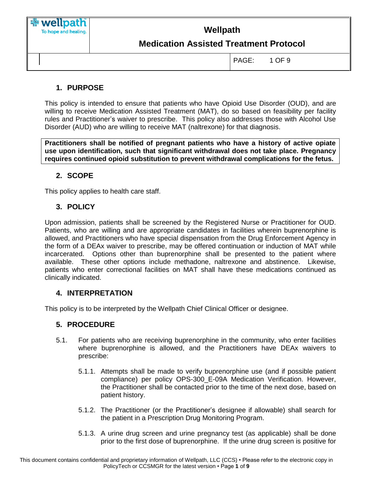

# **Medication Assisted Treatment Protocol**

PAGE: 1 OF 9

### **1. PURPOSE**

This policy is intended to ensure that patients who have Opioid Use Disorder (OUD), and are willing to receive Medication Assisted Treatment (MAT), do so based on feasibility per facility rules and Practitioner's waiver to prescribe. This policy also addresses those with Alcohol Use Disorder (AUD) who are willing to receive MAT (naltrexone) for that diagnosis.

**Practitioners shall be notified of pregnant patients who have a history of active opiate use upon identification, such that significant withdrawal does not take place. Pregnancy requires continued opioid substitution to prevent withdrawal complications for the fetus.** 

#### **2. SCOPE**

This policy applies to health care staff.

#### **3. POLICY**

Upon admission, patients shall be screened by the Registered Nurse or Practitioner for OUD. Patients, who are willing and are appropriate candidates in facilities wherein buprenorphine is allowed, and Practitioners who have special dispensation from the Drug Enforcement Agency in the form of a DEAx waiver to prescribe, may be offered continuation or induction of MAT while incarcerated. Options other than buprenorphine shall be presented to the patient where available. These other options include methadone, naltrexone and abstinence. Likewise, patients who enter correctional facilities on MAT shall have these medications continued as clinically indicated.

#### **4. INTERPRETATION**

This policy is to be interpreted by the Wellpath Chief Clinical Officer or designee.

#### **5. PROCEDURE**

- 5.1. For patients who are receiving buprenorphine in the community, who enter facilities where buprenorphine is allowed, and the Practitioners have DEAx waivers to prescribe:
	- 5.1.1. Attempts shall be made to verify buprenorphine use (and if possible patient compliance) per policy OPS-300\_E-09A Medication Verification. However, the Practitioner shall be contacted prior to the time of the next dose, based on patient history.
	- 5.1.2. The Practitioner (or the Practitioner's designee if allowable) shall search for the patient in a Prescription Drug Monitoring Program.
	- 5.1.3. A urine drug screen and urine pregnancy test (as applicable) shall be done prior to the first dose of buprenorphine. If the urine drug screen is positive for

This document contains confidential and proprietary information of Wellpath, LLC (CCS) • Please refer to the electronic copy in PolicyTech or CCSMGR for the latest version • Page **1** of **9**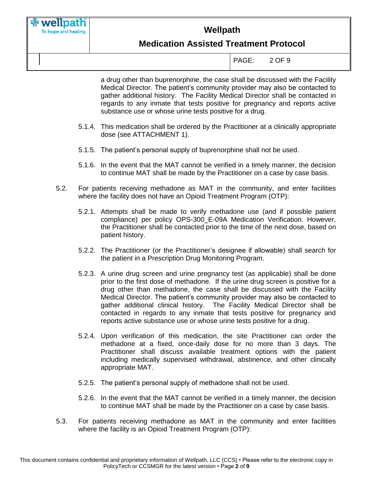

# **Medication Assisted Treatment Protocol**

PAGE: 2 OF 9

a drug other than buprenorphine, the case shall be discussed with the Facility Medical Director. The patient's community provider may also be contacted to gather additional history. The Facility Medical Director shall be contacted in regards to any inmate that tests positive for pregnancy and reports active substance use or whose urine tests positive for a drug.

- 5.1.4. This medication shall be ordered by the Practitioner at a clinically appropriate dose (see ATTACHMENT 1).
- 5.1.5. The patient's personal supply of buprenorphine shall not be used.
- 5.1.6. In the event that the MAT cannot be verified in a timely manner, the decision to continue MAT shall be made by the Practitioner on a case by case basis.
- 5.2. For patients receiving methadone as MAT in the community, and enter facilities where the facility does not have an Opioid Treatment Program (OTP):
	- 5.2.1. Attempts shall be made to verify methadone use (and if possible patient compliance) per policy OPS-300\_E-09A Medication Verification. However, the Practitioner shall be contacted prior to the time of the next dose, based on patient history.
	- 5.2.2. The Practitioner (or the Practitioner's designee if allowable) shall search for the patient in a Prescription Drug Monitoring Program.
	- 5.2.3. A urine drug screen and urine pregnancy test (as applicable) shall be done prior to the first dose of methadone. If the urine drug screen is positive for a drug other than methadone, the case shall be discussed with the Facility Medical Director. The patient's community provider may also be contacted to gather additional clinical history. The Facility Medical Director shall be contacted in regards to any inmate that tests positive for pregnancy and reports active substance use or whose urine tests positive for a drug.
	- 5.2.4. Upon verification of this medication, the site Practitioner can order the methadone at a fixed, once-daily dose for no more than 3 days. The Practitioner shall discuss available treatment options with the patient including medically supervised withdrawal, abstinence, and other clinically appropriate MAT.
	- 5.2.5. The patient's personal supply of methadone shall not be used.
	- 5.2.6. In the event that the MAT cannot be verified in a timely manner, the decision to continue MAT shall be made by the Practitioner on a case by case basis.
- 5.3. For patients receiving methadone as MAT in the community and enter facilities where the facility is an Opioid Treatment Program (OTP):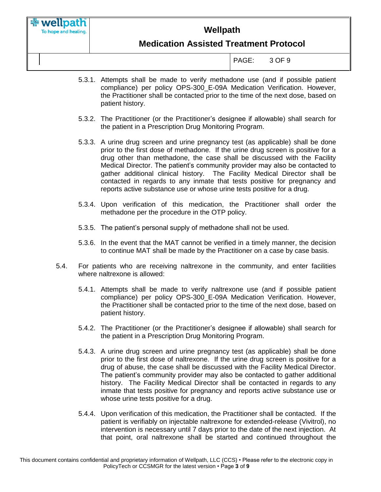

# **Medication Assisted Treatment Protocol**

PAGE: 3 OF 9

- 5.3.1. Attempts shall be made to verify methadone use (and if possible patient compliance) per policy OPS-300\_E-09A Medication Verification. However, the Practitioner shall be contacted prior to the time of the next dose, based on patient history.
- 5.3.2. The Practitioner (or the Practitioner's designee if allowable) shall search for the patient in a Prescription Drug Monitoring Program.
- 5.3.3. A urine drug screen and urine pregnancy test (as applicable) shall be done prior to the first dose of methadone. If the urine drug screen is positive for a drug other than methadone, the case shall be discussed with the Facility Medical Director. The patient's community provider may also be contacted to gather additional clinical history. The Facility Medical Director shall be contacted in regards to any inmate that tests positive for pregnancy and reports active substance use or whose urine tests positive for a drug.
- 5.3.4. Upon verification of this medication, the Practitioner shall order the methadone per the procedure in the OTP policy.
- 5.3.5. The patient's personal supply of methadone shall not be used.
- 5.3.6. In the event that the MAT cannot be verified in a timely manner, the decision to continue MAT shall be made by the Practitioner on a case by case basis.
- 5.4. For patients who are receiving naltrexone in the community, and enter facilities where naltrexone is allowed:
	- 5.4.1. Attempts shall be made to verify naltrexone use (and if possible patient compliance) per policy OPS-300\_E-09A Medication Verification. However, the Practitioner shall be contacted prior to the time of the next dose, based on patient history.
	- 5.4.2. The Practitioner (or the Practitioner's designee if allowable) shall search for the patient in a Prescription Drug Monitoring Program.
	- 5.4.3. A urine drug screen and urine pregnancy test (as applicable) shall be done prior to the first dose of naltrexone. If the urine drug screen is positive for a drug of abuse, the case shall be discussed with the Facility Medical Director. The patient's community provider may also be contacted to gather additional history. The Facility Medical Director shall be contacted in regards to any inmate that tests positive for pregnancy and reports active substance use or whose urine tests positive for a drug.
	- 5.4.4. Upon verification of this medication, the Practitioner shall be contacted. If the patient is verifiably on injectable naltrexone for extended-release (Vivitrol), no intervention is necessary until 7 days prior to the date of the next injection. At that point, oral naltrexone shall be started and continued throughout the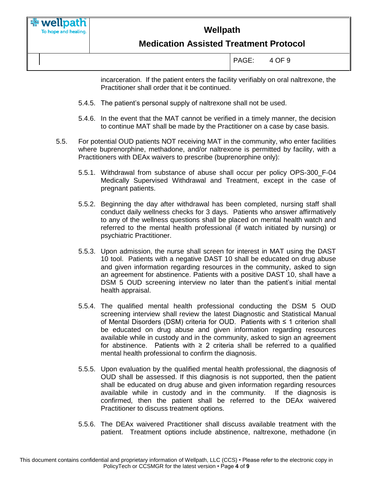

# **Medication Assisted Treatment Protocol**

| PAGE: | 4 OF 9 |
|-------|--------|
|       |        |

incarceration. If the patient enters the facility verifiably on oral naltrexone, the Practitioner shall order that it be continued.

- 5.4.5. The patient's personal supply of naltrexone shall not be used.
- 5.4.6. In the event that the MAT cannot be verified in a timely manner, the decision to continue MAT shall be made by the Practitioner on a case by case basis.
- 5.5. For potential OUD patients NOT receiving MAT in the community, who enter facilities where buprenorphine, methadone, and/or naltrexone is permitted by facility, with a Practitioners with DEAx waivers to prescribe (buprenorphine only):
	- 5.5.1. Withdrawal from substance of abuse shall occur per policy OPS-300\_F-04 Medically Supervised Withdrawal and Treatment, except in the case of pregnant patients.
	- 5.5.2. Beginning the day after withdrawal has been completed, nursing staff shall conduct daily wellness checks for 3 days. Patients who answer affirmatively to any of the wellness questions shall be placed on mental health watch and referred to the mental health professional (if watch initiated by nursing) or psychiatric Practitioner.
	- 5.5.3. Upon admission, the nurse shall screen for interest in MAT using the DAST 10 tool. Patients with a negative DAST 10 shall be educated on drug abuse and given information regarding resources in the community, asked to sign an agreement for abstinence. Patients with a positive DAST 10, shall have a DSM 5 OUD screening interview no later than the patient's initial mental health appraisal.
	- 5.5.4. The qualified mental health professional conducting the DSM 5 OUD screening interview shall review the latest Diagnostic and Statistical Manual of Mental Disorders (DSM) criteria for OUD. Patients with ≤ 1 criterion shall be educated on drug abuse and given information regarding resources available while in custody and in the community, asked to sign an agreement for abstinence. Patients with  $\geq 2$  criteria shall be referred to a qualified mental health professional to confirm the diagnosis.
	- 5.5.5. Upon evaluation by the qualified mental health professional, the diagnosis of OUD shall be assessed. If this diagnosis is not supported, then the patient shall be educated on drug abuse and given information regarding resources available while in custody and in the community. If the diagnosis is confirmed, then the patient shall be referred to the DEAx waivered Practitioner to discuss treatment options.
	- 5.5.6. The DEAx waivered Practitioner shall discuss available treatment with the patient. Treatment options include abstinence, naltrexone, methadone (in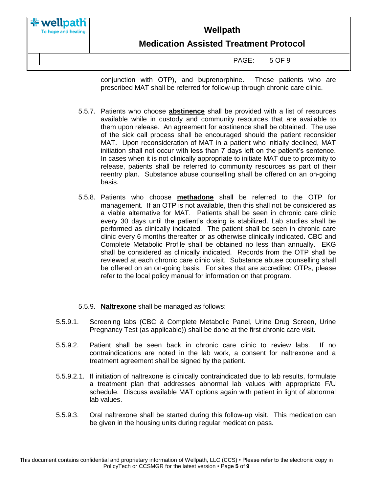

conjunction with OTP), and buprenorphine. Those patients who are prescribed MAT shall be referred for follow-up through chronic care clinic.

- 5.5.7. Patients who choose **abstinence** shall be provided with a list of resources available while in custody and community resources that are available to them upon release. An agreement for abstinence shall be obtained. The use of the sick call process shall be encouraged should the patient reconsider MAT. Upon reconsideration of MAT in a patient who initially declined, MAT initiation shall not occur with less than 7 days left on the patient's sentence. In cases when it is not clinically appropriate to initiate MAT due to proximity to release, patients shall be referred to community resources as part of their reentry plan. Substance abuse counselling shall be offered on an on-going basis.
- 5.5.8. Patients who choose **methadone** shall be referred to the OTP for management. If an OTP is not available, then this shall not be considered as a viable alternative for MAT. Patients shall be seen in chronic care clinic every 30 days until the patient's dosing is stabilized. Lab studies shall be performed as clinically indicated. The patient shall be seen in chronic care clinic every 6 months thereafter or as otherwise clinically indicated. CBC and Complete Metabolic Profile shall be obtained no less than annually. EKG shall be considered as clinically indicated. Records from the OTP shall be reviewed at each chronic care clinic visit. Substance abuse counselling shall be offered on an on-going basis. For sites that are accredited OTPs, please refer to the local policy manual for information on that program.
- 5.5.9. **Naltrexone** shall be managed as follows:
- 5.5.9.1. Screening labs (CBC & Complete Metabolic Panel, Urine Drug Screen, Urine Pregnancy Test (as applicable)) shall be done at the first chronic care visit.
- 5.5.9.2. Patient shall be seen back in chronic care clinic to review labs. If no contraindications are noted in the lab work, a consent for naltrexone and a treatment agreement shall be signed by the patient.
- 5.5.9.2.1. If initiation of naltrexone is clinically contraindicated due to lab results, formulate a treatment plan that addresses abnormal lab values with appropriate F/U schedule. Discuss available MAT options again with patient in light of abnormal lab values.
- 5.5.9.3. Oral naltrexone shall be started during this follow-up visit. This medication can be given in the housing units during regular medication pass.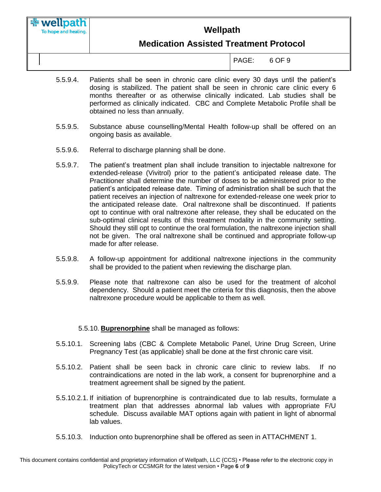# **Medication Assisted Treatment Protocol**

PAGE: 6 OF 9

- 5.5.9.4. Patients shall be seen in chronic care clinic every 30 days until the patient's dosing is stabilized. The patient shall be seen in chronic care clinic every 6 months thereafter or as otherwise clinically indicated. Lab studies shall be performed as clinically indicated. CBC and Complete Metabolic Profile shall be obtained no less than annually.
- 5.5.9.5. Substance abuse counselling/Mental Health follow-up shall be offered on an ongoing basis as available.
- 5.5.9.6. Referral to discharge planning shall be done.
- 5.5.9.7. The patient's treatment plan shall include transition to injectable naltrexone for extended-release (Vivitrol) prior to the patient's anticipated release date. The Practitioner shall determine the number of doses to be administered prior to the patient's anticipated release date. Timing of administration shall be such that the patient receives an injection of naltrexone for extended-release one week prior to the anticipated release date. Oral naltrexone shall be discontinued. If patients opt to continue with oral naltrexone after release, they shall be educated on the sub-optimal clinical results of this treatment modality in the community setting. Should they still opt to continue the oral formulation, the naltrexone injection shall not be given. The oral naltrexone shall be continued and appropriate follow-up made for after release.
- 5.5.9.8. A follow-up appointment for additional naltrexone injections in the community shall be provided to the patient when reviewing the discharge plan.
- 5.5.9.9. Please note that naltrexone can also be used for the treatment of alcohol dependency. Should a patient meet the criteria for this diagnosis, then the above naltrexone procedure would be applicable to them as well.

5.5.10. **Buprenorphine** shall be managed as follows:

- 5.5.10.1. Screening labs (CBC & Complete Metabolic Panel, Urine Drug Screen, Urine Pregnancy Test (as applicable) shall be done at the first chronic care visit.
- 5.5.10.2. Patient shall be seen back in chronic care clinic to review labs. If no contraindications are noted in the lab work, a consent for buprenorphine and a treatment agreement shall be signed by the patient.
- 5.5.10.2.1. If initiation of buprenorphine is contraindicated due to lab results, formulate a treatment plan that addresses abnormal lab values with appropriate F/U schedule. Discuss available MAT options again with patient in light of abnormal lab values.
- 5.5.10.3. Induction onto buprenorphine shall be offered as seen in ATTACHMENT 1.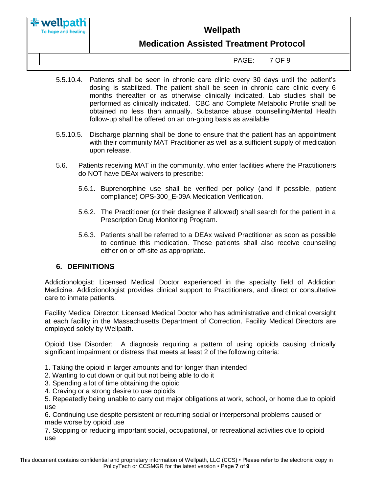To hope and healing.

# **Wellpath**

# **Medication Assisted Treatment Protocol**

PAGE: 7 OF 9

- 5.5.10.4. Patients shall be seen in chronic care clinic every 30 days until the patient's dosing is stabilized. The patient shall be seen in chronic care clinic every 6 months thereafter or as otherwise clinically indicated. Lab studies shall be performed as clinically indicated. CBC and Complete Metabolic Profile shall be obtained no less than annually. Substance abuse counselling/Mental Health follow-up shall be offered on an on-going basis as available.
- 5.5.10.5. Discharge planning shall be done to ensure that the patient has an appointment with their community MAT Practitioner as well as a sufficient supply of medication upon release.
- 5.6. Patients receiving MAT in the community, who enter facilities where the Practitioners do NOT have DEAx waivers to prescribe:
	- 5.6.1. Buprenorphine use shall be verified per policy (and if possible, patient compliance) OPS-300\_E-09A Medication Verification.
	- 5.6.2. The Practitioner (or their designee if allowed) shall search for the patient in a Prescription Drug Monitoring Program.
	- 5.6.3. Patients shall be referred to a DEAx waived Practitioner as soon as possible to continue this medication. These patients shall also receive counseling either on or off-site as appropriate.

#### **6. DEFINITIONS**

Addictionologist: Licensed Medical Doctor experienced in the specialty field of Addiction Medicine. Addictionologist provides clinical support to Practitioners, and direct or consultative care to inmate patients.

Facility Medical Director: Licensed Medical Doctor who has administrative and clinical oversight at each facility in the Massachusetts Department of Correction. Facility Medical Directors are employed solely by Wellpath.

Opioid Use Disorder: A diagnosis requiring a pattern of using opioids causing clinically significant impairment or distress that meets at least 2 of the following criteria:

- 1. Taking the opioid in larger amounts and for longer than intended
- 2. Wanting to cut down or quit but not being able to do it
- 3. Spending a lot of time obtaining the opioid
- 4. Craving or a strong desire to use opioids

5. Repeatedly being unable to carry out major obligations at work, school, or home due to opioid use

6. Continuing use despite persistent or recurring social or interpersonal problems caused or made worse by opioid use

7. Stopping or reducing important social, occupational, or recreational activities due to opioid use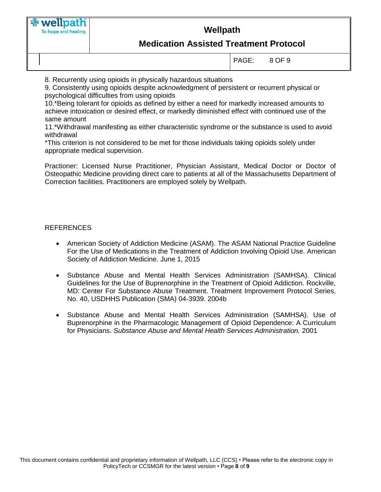

## **Medication Assisted Treatment Protocol**

PAGE: 8 OF 9

8. Recurrently using opioids in physically hazardous situations

9. Consistently using opioids despite acknowledgment of persistent or recurrent physical or psychological difficulties from using opioids

10.\*Being tolerant for opioids as defined by either a need for markedly increased amounts to achieve intoxication or desired effect, or markedly diminished effect with continued use of the same amount

11.\*Withdrawal manifesting as either characteristic syndrome or the substance is used to avoid withdrawal

\*This criterion is not considered to be met for those individuals taking opioids solely under appropriate medical supervision.

Practioner: Licensed Nurse Practitioner, Physician Assistant, Medical Doctor or Doctor of Osteopathic Medicine providing direct care to patients at all of the Massachusetts Department of Correction facilities. Practitioners are employed solely by Wellpath.

#### REFERENCES

- American Society of Addiction Medicine (ASAM). The ASAM National Practice Guideline For the Use of Medications in the Treatment of Addiction Involving Opioid Use. American Society of Addiction Medicine. June 1, 2015
- Substance Abuse and Mental Health Services Administration (SAMHSA). Clinical Guidelines for the Use of Buprenorphine in the Treatment of Opioid Addiction. Rockville, MD: Center For Substance Abuse Treatment. Treatment Improvement Protocol Series, No. 40, USDHHS Publication (SMA) 04-3939. 2004b
- Substance Abuse and Mental Health Services Administration (SAMHSA). Use of Buprenorphine in the Pharmacologic Management of Opioid Dependence: A Curriculum for Physicians. *Substance Abuse and Mental Health Services Administration.* 2001